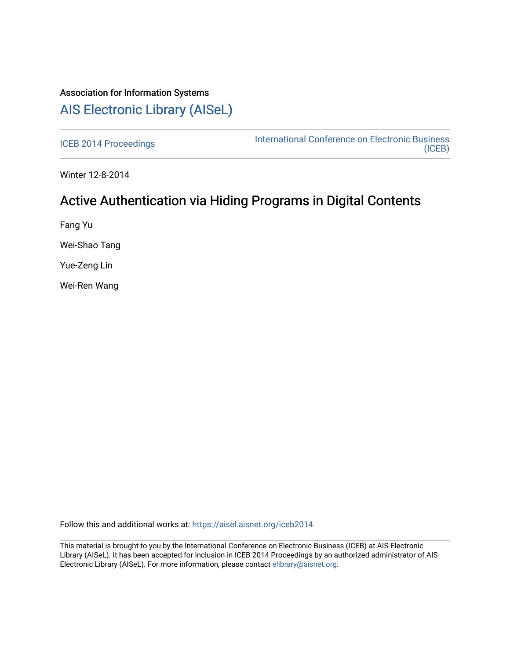## Association for Information Systems [AIS Electronic Library \(AISeL\)](https://aisel.aisnet.org/)

[ICEB 2014 Proceedings](https://aisel.aisnet.org/iceb2014) **International Conference on Electronic Business** [\(ICEB\)](https://aisel.aisnet.org/iceb) 

Winter 12-8-2014

# Active Authentication via Hiding Programs in Digital Contents

Fang Yu

Wei-Shao Tang

Yue-Zeng Lin

Wei-Ren Wang

Follow this and additional works at: [https://aisel.aisnet.org/iceb2014](https://aisel.aisnet.org/iceb2014?utm_source=aisel.aisnet.org%2Ficeb2014%2F59&utm_medium=PDF&utm_campaign=PDFCoverPages)

This material is brought to you by the International Conference on Electronic Business (ICEB) at AIS Electronic Library (AISeL). It has been accepted for inclusion in ICEB 2014 Proceedings by an authorized administrator of AIS Electronic Library (AISeL). For more information, please contact [elibrary@aisnet.org.](mailto:elibrary@aisnet.org%3E)